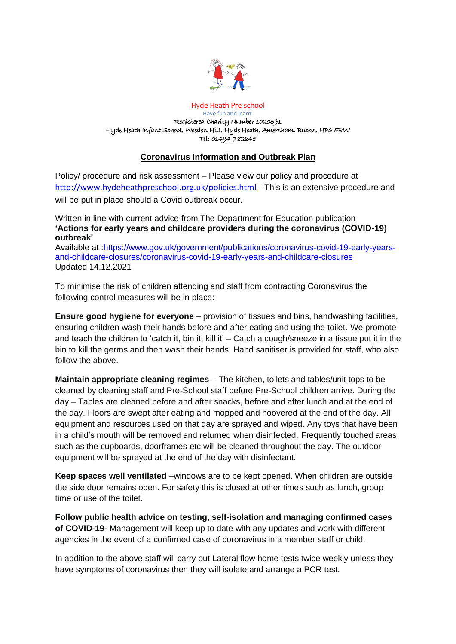

Hyde Heath Pre-school Have fun and learn! Registered Charity Number 1020591 Hyde Heath Infant School, Weedon Hill, Hyde Heath, Amersham, Bucks, HP6 5RW Tel: 01494 782845

# **Coronavirus Information and Outbreak Plan**

Policy/ procedure and risk assessment – Please view our policy and procedure at <http://www.hydeheathpreschool.org.uk/policies.html> - This is an extensive procedure and will be put in place should a Covid outbreak occur.

Written in line with current advice from The Department for Education publication **'Actions for early years and childcare providers during the coronavirus (COVID-19) outbreak'**

Available at [:https://www.gov.uk/government/publications/coronavirus-covid-19-early-years](https://www.gov.uk/government/publications/coronavirus-covid-19-early-years-and-childcare-closures/coronavirus-covid-19-early-years-and-childcare-closures)[and-childcare-closures/coronavirus-covid-19-early-years-and-childcare-closures](https://www.gov.uk/government/publications/coronavirus-covid-19-early-years-and-childcare-closures/coronavirus-covid-19-early-years-and-childcare-closures)  Updated 14.12.2021

To minimise the risk of children attending and staff from contracting Coronavirus the following control measures will be in place:

**Ensure good hygiene for everyone** – provision of tissues and bins, handwashing facilities, ensuring children wash their hands before and after eating and using the toilet. We promote and teach the children to 'catch it, bin it, kill it' – Catch a cough/sneeze in a tissue put it in the bin to kill the germs and then wash their hands. Hand sanitiser is provided for staff, who also follow the above.

**Maintain appropriate cleaning regimes** – The kitchen, toilets and tables/unit tops to be cleaned by cleaning staff and Pre-School staff before Pre-School children arrive. During the day – Tables are cleaned before and after snacks, before and after lunch and at the end of the day. Floors are swept after eating and mopped and hoovered at the end of the day. All equipment and resources used on that day are sprayed and wiped. Any toys that have been in a child's mouth will be removed and returned when disinfected. Frequently touched areas such as the cupboards, doorframes etc will be cleaned throughout the day. The outdoor equipment will be sprayed at the end of the day with disinfectant.

**Keep spaces well ventilated** –windows are to be kept opened. When children are outside the side door remains open. For safety this is closed at other times such as lunch, group time or use of the toilet.

**Follow public health advice on testing, self-isolation and managing confirmed cases of COVID-19-** Management will keep up to date with any updates and work with different agencies in the event of a confirmed case of coronavirus in a member staff or child.

In addition to the above staff will carry out Lateral flow home tests twice weekly unless they have symptoms of coronavirus then they will isolate and arrange a PCR test.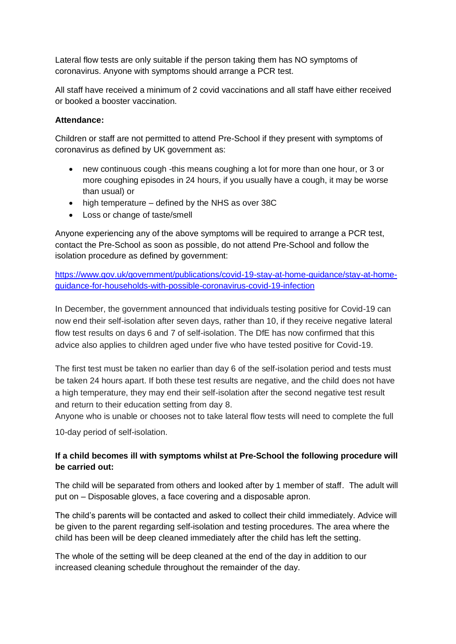Lateral flow tests are only suitable if the person taking them has NO symptoms of coronavirus. Anyone with symptoms should arrange a PCR test.

All staff have received a minimum of 2 covid vaccinations and all staff have either received or booked a booster vaccination.

#### **Attendance:**

Children or staff are not permitted to attend Pre-School if they present with symptoms of coronavirus as defined by UK government as:

- new continuous cough -this means coughing a lot for more than one hour, or 3 or more coughing episodes in 24 hours, if you usually have a cough, it may be worse than usual) or
- high temperature defined by the NHS as over 38C
- Loss or change of taste/smell

Anyone experiencing any of the above symptoms will be required to arrange a PCR test, contact the Pre-School as soon as possible, do not attend Pre-School and follow the isolation procedure as defined by government:

[https://www.gov.uk/government/publications/covid-19-stay-at-home-guidance/stay-at-home](https://www.gov.uk/government/publications/covid-19-stay-at-home-guidance/stay-at-home-guidance-for-households-with-possible-coronavirus-covid-19-infection)[guidance-for-households-with-possible-coronavirus-covid-19-infection](https://www.gov.uk/government/publications/covid-19-stay-at-home-guidance/stay-at-home-guidance-for-households-with-possible-coronavirus-covid-19-infection)

In December, the government announced that individuals testing positive for Covid-19 can now end their self-isolation after seven days, rather than 10, if they receive negative lateral flow test results on days 6 and 7 of self-isolation. The DfE has now confirmed that this advice also applies to children aged under five who have tested positive for Covid-19.

The first test must be taken no earlier than day 6 of the self-isolation period and tests must be taken 24 hours apart. If both these test results are negative, and the child does not have a high temperature, they may end their self-isolation after the second negative test result and return to their education setting from day 8.

Anyone who is unable or chooses not to take lateral flow tests will need to complete the full

10-day period of self-isolation.

# **If a child becomes ill with symptoms whilst at Pre-School the following procedure will be carried out:**

The child will be separated from others and looked after by 1 member of staff. The adult will put on – Disposable gloves, a face covering and a disposable apron.

The child's parents will be contacted and asked to collect their child immediately. Advice will be given to the parent regarding self-isolation and testing procedures. The area where the child has been will be deep cleaned immediately after the child has left the setting.

The whole of the setting will be deep cleaned at the end of the day in addition to our increased cleaning schedule throughout the remainder of the day.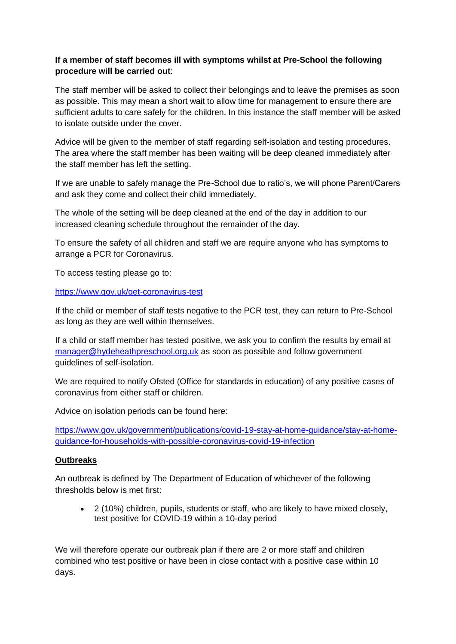# **If a member of staff becomes ill with symptoms whilst at Pre-School the following procedure will be carried out**:

The staff member will be asked to collect their belongings and to leave the premises as soon as possible. This may mean a short wait to allow time for management to ensure there are sufficient adults to care safely for the children. In this instance the staff member will be asked to isolate outside under the cover.

Advice will be given to the member of staff regarding self-isolation and testing procedures. The area where the staff member has been waiting will be deep cleaned immediately after the staff member has left the setting.

If we are unable to safely manage the Pre-School due to ratio's, we will phone Parent/Carers and ask they come and collect their child immediately.

The whole of the setting will be deep cleaned at the end of the day in addition to our increased cleaning schedule throughout the remainder of the day.

To ensure the safety of all children and staff we are require anyone who has symptoms to arrange a PCR for Coronavirus.

To access testing please go to:

#### <https://www.gov.uk/get-coronavirus-test>

If the child or member of staff tests negative to the PCR test, they can return to Pre-School as long as they are well within themselves.

If a child or staff member has tested positive, we ask you to confirm the results by email at [manager@hydeheathpreschool.org.uk](mailto:manager@hydeheathpreschool.org.uk) as soon as possible and follow government guidelines of self-isolation.

We are required to notify Ofsted (Office for standards in education) of any positive cases of coronavirus from either staff or children.

Advice on isolation periods can be found here:

[https://www.gov.uk/government/publications/covid-19-stay-at-home-guidance/stay-at-home](https://www.gov.uk/government/publications/covid-19-stay-at-home-guidance/stay-at-home-guidance-for-households-with-possible-coronavirus-covid-19-infection)[guidance-for-households-with-possible-coronavirus-covid-19-infection](https://www.gov.uk/government/publications/covid-19-stay-at-home-guidance/stay-at-home-guidance-for-households-with-possible-coronavirus-covid-19-infection)

#### **Outbreaks**

An outbreak is defined by The Department of Education of whichever of the following thresholds below is met first:

• 2 (10%) children, pupils, students or staff, who are likely to have mixed closely, test positive for COVID-19 within a 10-day period

We will therefore operate our outbreak plan if there are 2 or more staff and children combined who test positive or have been in close contact with a positive case within 10 days.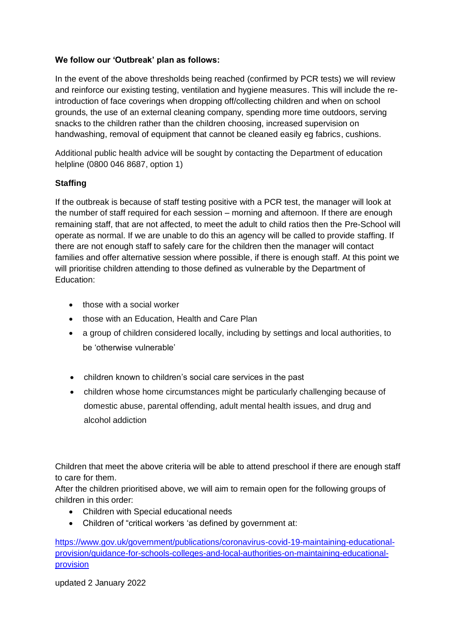# **We follow our 'Outbreak' plan as follows:**

In the event of the above thresholds being reached (confirmed by PCR tests) we will review and reinforce our existing testing, ventilation and hygiene measures. This will include the reintroduction of face coverings when dropping off/collecting children and when on school grounds, the use of an external cleaning company, spending more time outdoors, serving snacks to the children rather than the children choosing, increased supervision on handwashing, removal of equipment that cannot be cleaned easily eg fabrics, cushions.

Additional public health advice will be sought by contacting the Department of education helpline (0800 046 8687, option 1)

# **Staffing**

If the outbreak is because of staff testing positive with a PCR test, the manager will look at the number of staff required for each session – morning and afternoon. If there are enough remaining staff, that are not affected, to meet the adult to child ratios then the Pre-School will operate as normal. If we are unable to do this an agency will be called to provide staffing. If there are not enough staff to safely care for the children then the manager will contact families and offer alternative session where possible, if there is enough staff. At this point we will prioritise children attending to those defined as vulnerable by the Department of Education:

- those with a social worker
- those with an Education, Health and Care Plan
- a group of children considered locally, including by settings and local authorities, to be 'otherwise vulnerable'
- children known to children's social care services in the past
- children whose home circumstances might be particularly challenging because of domestic abuse, parental offending, adult mental health issues, and drug and alcohol addiction

Children that meet the above criteria will be able to attend preschool if there are enough staff to care for them.

After the children prioritised above, we will aim to remain open for the following groups of children in this order:

- Children with Special educational needs
- Children of "critical workers 'as defined by government at:

[https://www.gov.uk/government/publications/coronavirus-covid-19-maintaining-educational](https://www.gov.uk/government/publications/coronavirus-covid-19-maintaining-educational-provision/guidance-for-schools-colleges-and-local-authorities-on-maintaining-educational-provision)[provision/guidance-for-schools-colleges-and-local-authorities-on-maintaining-educational](https://www.gov.uk/government/publications/coronavirus-covid-19-maintaining-educational-provision/guidance-for-schools-colleges-and-local-authorities-on-maintaining-educational-provision)[provision](https://www.gov.uk/government/publications/coronavirus-covid-19-maintaining-educational-provision/guidance-for-schools-colleges-and-local-authorities-on-maintaining-educational-provision)

updated 2 January 2022